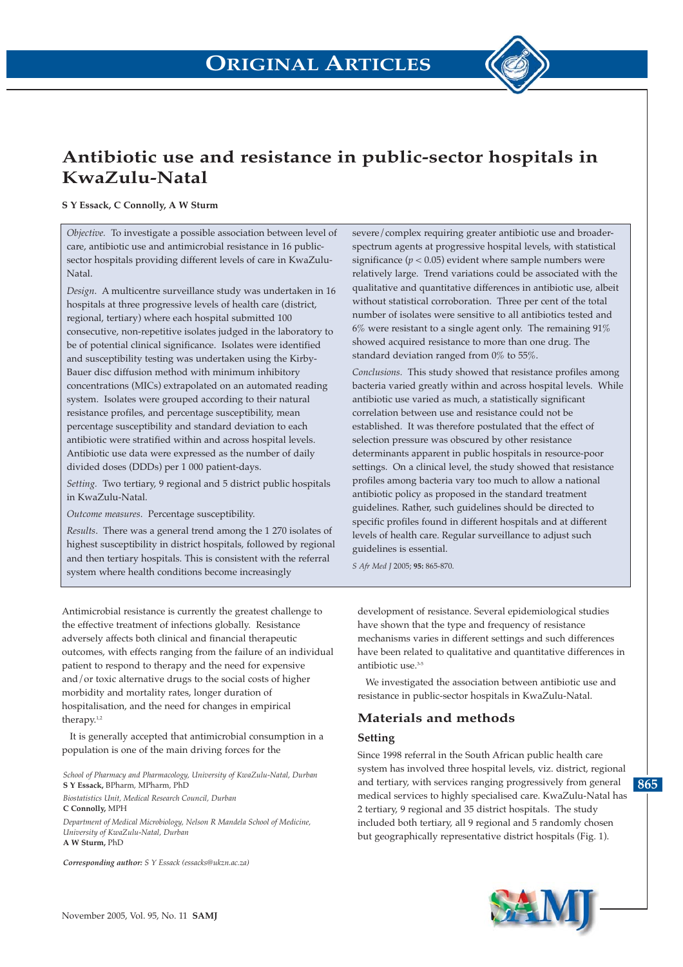

## **Antibiotic use and resistance in public-sector hospitals in KwaZulu-Natal**

#### **S Y Essack, C Connolly, A W Sturm**

*Objective.* To investigate a possible association between level of care, antibiotic use and antimicrobial resistance in 16 publicsector hospitals providing different levels of care in KwaZulu-Natal.

*Design*. A multicentre surveillance study was undertaken in 16 hospitals at three progressive levels of health care (district, regional, tertiary) where each hospital submitted 100 consecutive, non-repetitive isolates judged in the laboratory to be of potential clinical significance. Isolates were identified and susceptibility testing was undertaken using the Kirby-Bauer disc diffusion method with minimum inhibitory concentrations (MICs) extrapolated on an automated reading system. Isolates were grouped according to their natural resistance profiles, and percentage susceptibility, mean percentage susceptibility and standard deviation to each antibiotic were stratified within and across hospital levels. Antibiotic use data were expressed as the number of daily divided doses (DDDs) per 1 000 patient-days.

*Setting.* Two tertiary, 9 regional and 5 district public hospitals in KwaZulu-Natal.

*Outcome measures*. Percentage susceptibility.

*Results*. There was a general trend among the 1 270 isolates of highest susceptibility in district hospitals, followed by regional and then tertiary hospitals. This is consistent with the referral system where health conditions become increasingly

severe/complex requiring greater antibiotic use and broaderspectrum agents at progressive hospital levels, with statistical significance  $(p < 0.05)$  evident where sample numbers were relatively large. Trend variations could be associated with the qualitative and quantitative differences in antibiotic use, albeit without statistical corroboration. Three per cent of the total number of isolates were sensitive to all antibiotics tested and  $6\%$  were resistant to a single agent only. The remaining  $91\%$ showed acquired resistance to more than one drug. The standard deviation ranged from 0% to 55%.

*Conclusions.* This study showed that resistance profiles among bacteria varied greatly within and across hospital levels. While antibiotic use varied as much, a statistically significant correlation between use and resistance could not be established. It was therefore postulated that the effect of selection pressure was obscured by other resistance determinants apparent in public hospitals in resource-poor settings. On a clinical level, the study showed that resistance profiles among bacteria vary too much to allow a national antibiotic policy as proposed in the standard treatment guidelines. Rather, such guidelines should be directed to specific profiles found in different hospitals and at different levels of health care. Regular surveillance to adjust such guidelines is essential.

*S Afr Med J* 2005; **95:** 865-870.

Antimicrobial resistance is currently the greatest challenge to the effective treatment of infections globally. Resistance adversely affects both clinical and financial therapeutic outcomes, with effects ranging from the failure of an individual patient to respond to therapy and the need for expensive and/or toxic alternative drugs to the social costs of higher morbidity and mortality rates, longer duration of hospitalisation, and the need for changes in empirical therapy.<sup>1,2</sup>

It is generally accepted that antimicrobial consumption in a population is one of the main driving forces for the

*School of Pharmacy and Pharmacology, University of KwaZulu-Natal, Durban* **S Y Essack,** BPharm, MPharm, PhD

*Biostatistics Unit, Medical Research Council, Durban* **C Connolly,** MPH

*Department of Medical Microbiology, Nelson R Mandela School of Medicine, University of KwaZulu-Natal, Durban*  **A W Sturm,** PhD

*Corresponding author: S Y Essack (essacks@ukzn.ac.za)*

development of resistance. Several epidemiological studies have shown that the type and frequency of resistance mechanisms varies in different settings and such differences have been related to qualitative and quantitative differences in antibiotic use.3-5

We investigated the association between antibiotic use and resistance in public-sector hospitals in KwaZulu-Natal.

## **Materials and methods**

### **Setting**

Since 1998 referral in the South African public health care system has involved three hospital levels, viz. district, regional and tertiary, with services ranging progressively from general medical services to highly specialised care. KwaZulu-Natal has 2 tertiary, 9 regional and 35 district hospitals. The study included both tertiary, all 9 regional and 5 randomly chosen but geographically representative district hospitals (Fig. 1).



**865**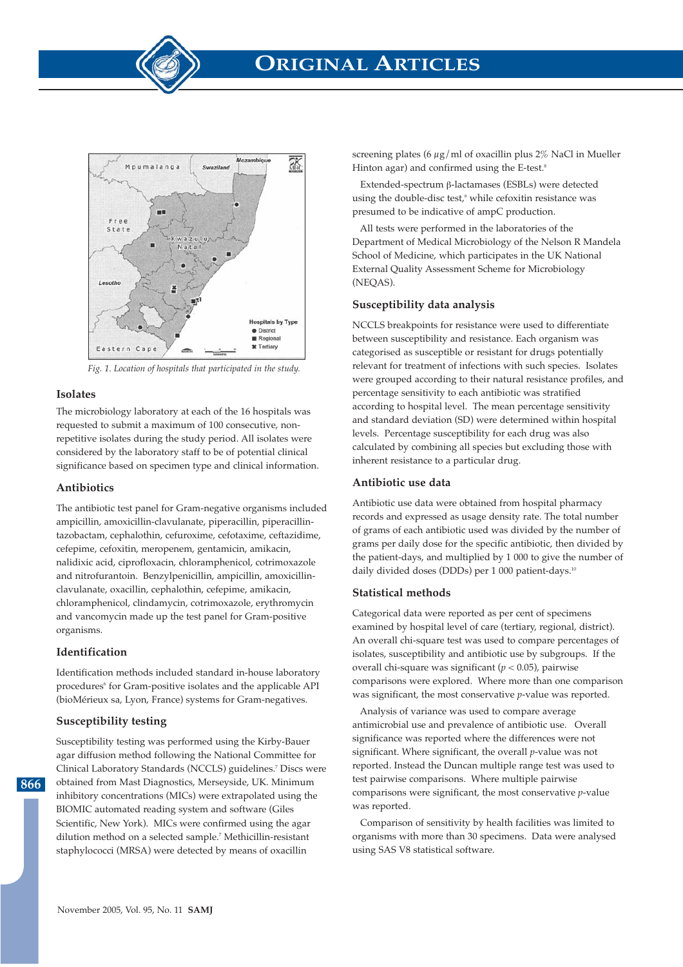

# **ORIGINAL ARTICLES**



*Fig. 1. Location of hospitals that participated in the study.*

#### **Isolates**

The microbiology laboratory at each of the 16 hospitals was requested to submit a maximum of 100 consecutive, nonrepetitive isolates during the study period. All isolates were considered by the laboratory staff to be of potential clinical significance based on specimen type and clinical information.

#### **Antibiotics**

The antibiotic test panel for Gram-negative organisms included ampicillin, amoxicillin-clavulanate, piperacillin, piperacillintazobactam, cephalothin, cefuroxime, cefotaxime, ceftazidime, cefepime, cefoxitin, meropenem, gentamicin, amikacin, nalidixic acid, ciprofloxacin, chloramphenicol, cotrimoxazole and nitrofurantoin. Benzylpenicillin, ampicillin, amoxicillinclavulanate, oxacillin, cephalothin, cefepime, amikacin, chloramphenicol, clindamycin, cotrimoxazole, erythromycin and vancomycin made up the test panel for Gram-positive organisms.

### **Identification**

Identification methods included standard in-house laboratory procedures<sup>6</sup> for Gram-positive isolates and the applicable API (bioMérieux sa, Lyon, France) systems for Gram-negatives.

### **Susceptibility testing**

**866**

Susceptibility testing was performed using the Kirby-Bauer agar diffusion method following the National Committee for Clinical Laboratory Standards (NCCLS) guidelines.7 Discs were obtained from Mast Diagnostics, Merseyside, UK. Minimum inhibitory concentrations (MICs) were extrapolated using the BIOMIC automated reading system and software (Giles Scientific, New York). MICs were confirmed using the agar dilution method on a selected sample.7 Methicillin-resistant staphylococci (MRSA) were detected by means of oxacillin

screening plates (6  $\mu$ g/ml of oxacillin plus 2% NaCl in Mueller Hinton agar) and confirmed using the E-test.<sup>8</sup>

Extended-spectrum β-lactamases (ESBLs) were detected using the double-disc test,<sup>9</sup> while cefoxitin resistance was presumed to be indicative of ampC production.

All tests were performed in the laboratories of the Department of Medical Microbiology of the Nelson R Mandela School of Medicine, which participates in the UK National External Quality Assessment Scheme for Microbiology (NEQAS).

### **Susceptibility data analysis**

NCCLS breakpoints for resistance were used to differentiate between susceptibility and resistance. Each organism was categorised as susceptible or resistant for drugs potentially relevant for treatment of infections with such species. Isolates were grouped according to their natural resistance profiles, and percentage sensitivity to each antibiotic was stratified according to hospital level. The mean percentage sensitivity and standard deviation (SD) were determined within hospital levels. Percentage susceptibility for each drug was also calculated by combining all species but excluding those with inherent resistance to a particular drug.

#### **Antibiotic use data**

Antibiotic use data were obtained from hospital pharmacy records and expressed as usage density rate. The total number of grams of each antibiotic used was divided by the number of grams per daily dose for the specific antibiotic, then divided by the patient-days, and multiplied by 1 000 to give the number of daily divided doses (DDDs) per 1 000 patient-days.10

### **Statistical methods**

Categorical data were reported as per cent of specimens examined by hospital level of care (tertiary, regional, district). An overall chi-square test was used to compare percentages of isolates, susceptibility and antibiotic use by subgroups. If the overall chi-square was significant (*p* < 0.05), pairwise comparisons were explored. Where more than one comparison was significant, the most conservative *p*-value was reported.

Analysis of variance was used to compare average antimicrobial use and prevalence of antibiotic use. Overall significance was reported where the differences were not significant. Where significant, the overall *p*-value was not reported. Instead the Duncan multiple range test was used to test pairwise comparisons. Where multiple pairwise comparisons were significant, the most conservative *p*-value was reported.

Comparison of sensitivity by health facilities was limited to organisms with more than 30 specimens. Data were analysed using SAS V8 statistical software.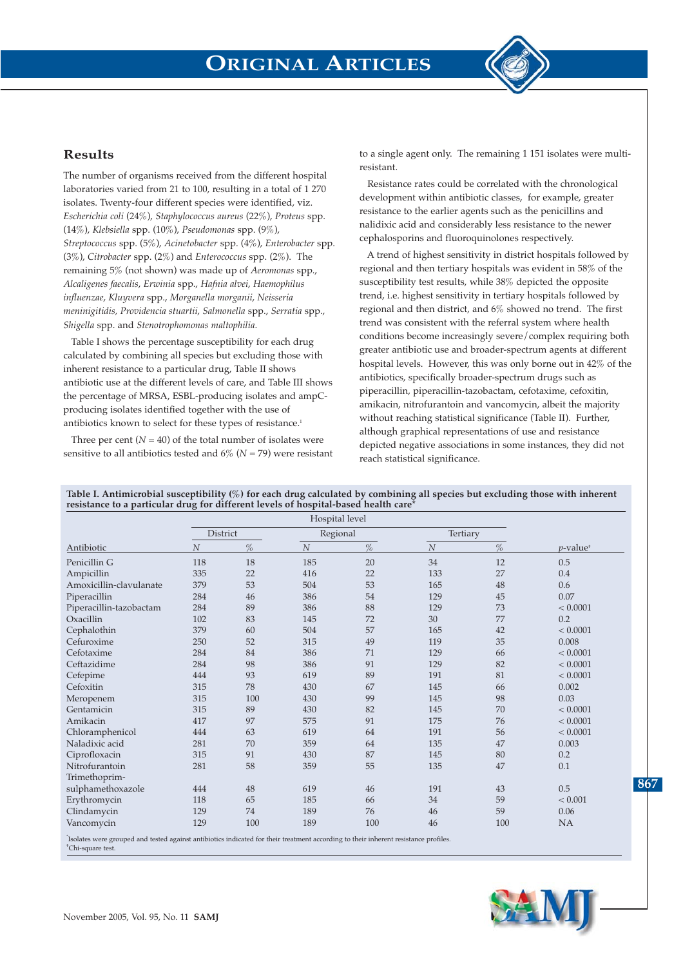

### **Results**

The number of organisms received from the different hospital laboratories varied from 21 to 100, resulting in a total of 1 270 isolates. Twenty-four different species were identified, viz. *Escherichia coli* (24%), *Staphylococcus aureus* (22%), *Proteus* spp. (14%), *Klebsiella* spp. (10%), *Pseudomonas* spp. (9%), *Streptococcus* spp. (5%), *Acinetobacter* spp. (4%), *Enterobacter* spp. (3%), *Citrobacter* spp. (2%) and *Enterococcus* spp. (2%). The remaining 5% (not shown) was made up of *Aeromonas* spp., *Alcaligenes faecalis*, *Erwinia* spp., *Hafnia alvei*, *Haemophilus influenzae*, *Kluyvera* spp., *Morganella morganii*, *Neisseria meninigitidis, Providencia stuartii*, *Salmonella* spp., *Serratia* spp., *Shigella* spp. and *Stenotrophomonas maltophilia*.

Table I shows the percentage susceptibility for each drug calculated by combining all species but excluding those with inherent resistance to a particular drug, Table II shows antibiotic use at the different levels of care, and Table III shows the percentage of MRSA, ESBL-producing isolates and ampCproducing isolates identified together with the use of antibiotics known to select for these types of resistance.<sup>1</sup>

Three per cent  $(N = 40)$  of the total number of isolates were sensitive to all antibiotics tested and  $6\%$  ( $N = 79$ ) were resistant to a single agent only. The remaining 1 151 isolates were multiresistant.

Resistance rates could be correlated with the chronological development within antibiotic classes, for example, greater resistance to the earlier agents such as the penicillins and nalidixic acid and considerably less resistance to the newer cephalosporins and fluoroquinolones respectively.

A trend of highest sensitivity in district hospitals followed by regional and then tertiary hospitals was evident in 58% of the susceptibility test results, while 38% depicted the opposite trend, i.e. highest sensitivity in tertiary hospitals followed by regional and then district, and 6% showed no trend. The first trend was consistent with the referral system where health conditions become increasingly severe/complex requiring both greater antibiotic use and broader-spectrum agents at different hospital levels. However, this was only borne out in 42% of the antibiotics, specifically broader-spectrum drugs such as piperacillin, piperacillin-tazobactam, cefotaxime, cefoxitin, amikacin, nitrofurantoin and vancomycin, albeit the majority without reaching statistical significance (Table II). Further, although graphical representations of use and resistance depicted negative associations in some instances, they did not reach statistical significance.

**Table I. Antimicrobial susceptibility (%) for each drug calculated by combining all species but excluding those with inherent resistance to a particular drug for different levels of hospital-based health care\***

|                                                                                                                                     |                  | Hospital level |          |      |                  |      |                         |
|-------------------------------------------------------------------------------------------------------------------------------------|------------------|----------------|----------|------|------------------|------|-------------------------|
|                                                                                                                                     | District         |                | Regional |      | Tertiary         |      |                         |
| Antibiotic                                                                                                                          | $\boldsymbol{N}$ | $\%$           | $\cal N$ | $\%$ | $\boldsymbol{N}$ | $\%$ | $p$ -value <sup>+</sup> |
| Penicillin G                                                                                                                        | 118              | 18             | 185      | 20   | 34               | 12   | 0.5                     |
| Ampicillin                                                                                                                          | 335              | 22             | 416      | 22   | 133              | 27   | 0.4                     |
| Amoxicillin-clavulanate                                                                                                             | 379              | 53             | 504      | 53   | 165              | 48   | 0.6                     |
| Piperacillin                                                                                                                        | 284              | 46             | 386      | 54   | 129              | 45   | 0.07                    |
| Piperacillin-tazobactam                                                                                                             | 284              | 89             | 386      | 88   | 129              | 73   | < 0.0001                |
| Oxacillin                                                                                                                           | 102              | 83             | 145      | 72   | 30               | 77   | 0.2                     |
| Cephalothin                                                                                                                         | 379              | 60             | 504      | 57   | 165              | 42   | < 0.0001                |
| Cefuroxime                                                                                                                          | 250              | 52             | 315      | 49   | 119              | 35   | 0.008                   |
| Cefotaxime                                                                                                                          | 284              | 84             | 386      | 71   | 129              | 66   | < 0.0001                |
| Ceftazidime                                                                                                                         | 284              | 98             | 386      | 91   | 129              | 82   | < 0.0001                |
| Cefepime                                                                                                                            | 444              | 93             | 619      | 89   | 191              | 81   | < 0.0001                |
| Cefoxitin                                                                                                                           | 315              | 78             | 430      | 67   | 145              | 66   | 0.002                   |
| Meropenem                                                                                                                           | 315              | 100            | 430      | 99   | 145              | 98   | 0.03                    |
| Gentamicin                                                                                                                          | 315              | 89             | 430      | 82   | 145              | 70   | < 0.0001                |
| Amikacin                                                                                                                            | 417              | 97             | 575      | 91   | 175              | 76   | < 0.0001                |
| Chloramphenicol                                                                                                                     | 444              | 63             | 619      | 64   | 191              | 56   | < 0.0001                |
| Naladixic acid                                                                                                                      | 281              | 70             | 359      | 64   | 135              | 47   | 0.003                   |
| Ciprofloxacin                                                                                                                       | 315              | 91             | 430      | 87   | 145              | 80   | 0.2                     |
| Nitrofurantoin                                                                                                                      | 281              | 58             | 359      | 55   | 135              | 47   | 0.1                     |
| Trimethoprim-                                                                                                                       |                  |                |          |      |                  |      |                         |
| sulphamethoxazole                                                                                                                   | 444              | 48             | 619      | 46   | 191              | 43   | 0.5                     |
| Erythromycin                                                                                                                        | 118              | 65             | 185      | 66   | 34               | 59   | < 0.001                 |
| Clindamycin                                                                                                                         | 129              | 74             | 189      | 76   | 46               | 59   | 0.06                    |
| Vancomycin                                                                                                                          | 129              | 100            | 189      | 100  | 46               | 100  | <b>NA</b>               |
| Isolates were grouped and tested against antibiotics indicated for their treatment according to their inherent resistance profiles. |                  |                |          |      |                  |      |                         |

† Chi-square test.



**867**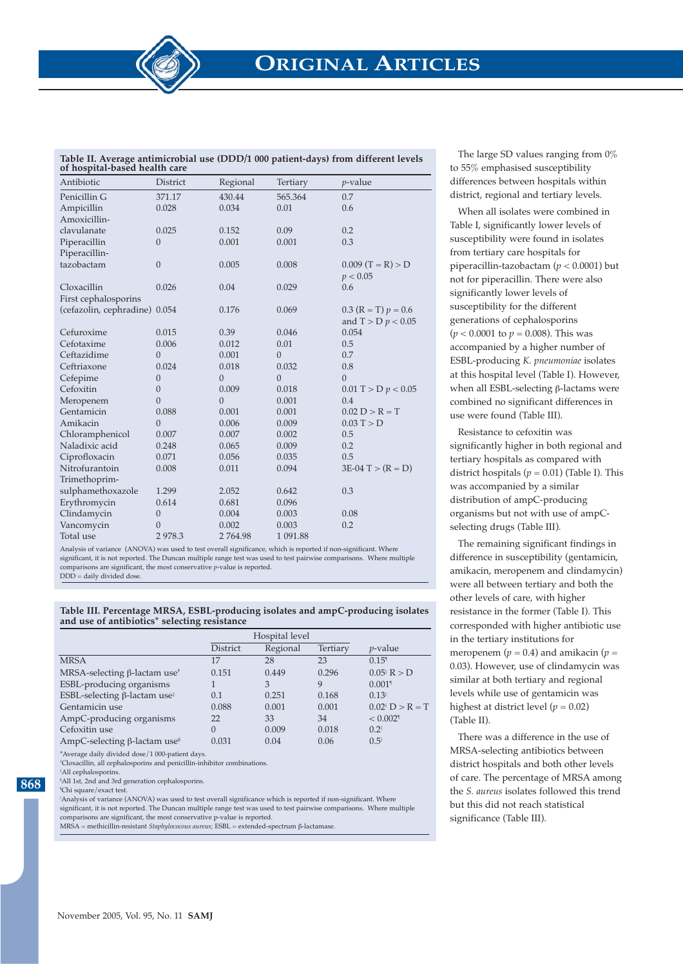| Table II. Average antimicrobial use (DDD/1 000 patient-days) from different levels |  |
|------------------------------------------------------------------------------------|--|
| of hospital-based health care                                                      |  |

| Antibiotic                    | <b>District</b> | Regional       | Tertiary       | $p$ -value                        |
|-------------------------------|-----------------|----------------|----------------|-----------------------------------|
| Penicillin G                  | 371.17          | 430.44         | 565.364        | 0.7                               |
| Ampicillin                    | 0.028           | 0.034          | 0.01           | 0.6                               |
| Amoxicillin-                  |                 |                |                |                                   |
| clavulanate                   | 0.025           | 0.152          | 0.09           | 0.2                               |
| Piperacillin                  | $\overline{0}$  | 0.001          | 0.001          | 0.3                               |
| Piperacillin-                 |                 |                |                |                                   |
| tazobactam                    | $\mathbf{0}$    | 0.005          | 0.008          | $0.009$ $(T = R) > D$<br>p < 0.05 |
| Cloxacillin                   | 0.026           | 0.04           | 0.029          | 0.6                               |
| First cephalosporins          |                 |                |                |                                   |
| (cefazolin, cephradine) 0.054 |                 | 0.176          | 0.069          | $0.3$ (R = T) $p = 0.6$           |
|                               |                 |                |                | and $T > D p < 0.05$              |
| Cefuroxime                    | 0.015           | 0.39           | 0.046          | 0.054                             |
| Cefotaxime                    | 0.006           | 0.012          | 0.01           | 0.5                               |
| Ceftazidime                   | $\overline{0}$  | 0.001          | $\overline{0}$ | 0.7                               |
| Ceftriaxone                   | 0.024           | 0.018          | 0.032          | 0.8                               |
| Cefepime                      | $\theta$        | $\overline{0}$ | $\overline{0}$ | $\overline{0}$                    |
| Cefoxitin                     | $\overline{0}$  | 0.009          | 0.018          | $0.01$ T > D $p < 0.05$           |
| Meropenem                     | $\overline{0}$  | $\overline{0}$ | 0.001          | 0.4                               |
| Gentamicin                    | 0.088           | 0.001          | 0.001          | $0.02 D > R = T$                  |
| Amikacin                      | $\Omega$        | 0.006          | 0.009          | 0.03 T > D                        |
| Chloramphenicol               | 0.007           | 0.007          | 0.002          | 0.5                               |
| Naladixic acid                | 0.248           | 0.065          | 0.009          | 0.2                               |
| Ciprofloxacin                 | 0.071           | 0.056          | 0.035          | 0.5                               |
| Nitrofurantoin                | 0.008           | 0.011          | 0.094          | $3E-04$ T > $(R = D)$             |
| Trimethoprim-                 |                 |                |                |                                   |
| sulphamethoxazole             | 1.299           | 2.052          | 0.642          | 0.3                               |
| Erythromycin                  | 0.614           | 0.681          | 0.096          |                                   |
| Clindamycin                   | $\overline{0}$  | 0.004          | 0.003          | 0.08                              |
| Vancomycin                    | $\overline{0}$  | 0.002          | 0.003          | 0.2                               |
| Total use                     | 2 978.3         | 2 764.98       | 1 091.88       |                                   |

Analysis of variance (ANOVA) was used to test overall significance, which is reported if non-significant. Where significant, it is not reported. The Duncan multiple range test was used to test pairwise comparisons. Where multiple comparisons are significant, the most conservative *p-*value is reported.

 $DDD =$  daily divided dose.

**Table III. Percentage MRSA, ESBL-producing isolates and ampC-producing isolates and use of antibiotics\* selecting resistance**

|                                                 | Hospital level |          |          |                                                     |
|-------------------------------------------------|----------------|----------|----------|-----------------------------------------------------|
|                                                 | District       | Regional | Tertiary | <i>p</i> -value                                     |
| <b>MRSA</b>                                     | 17             | 28       | 23       | 0.15 <sup>1</sup>                                   |
| MRSA-selecting $\beta$ -lactam use <sup>+</sup> | 0.151          | 0.449    | 0.296    | $0.05^{\text{H}} R > D$                             |
| ESBL-producing organisms                        |                | 3        | 9        | $0.001$ <sup>1</sup>                                |
| ESBL-selecting $\beta$ -lactam use <sup>†</sup> | 0.1            | 0.251    | 0.168    | 0.13                                                |
| Gentamicin use                                  | 0.088          | 0.001    | 0.001    | $0.02$ <sup><math>\text{ }</math></sup> $D > R = T$ |
| AmpC-producing organisms                        | 22             | 33       | 34       | $< 0.002$ <sup>1</sup>                              |
| Cefoxitin use                                   | 0              | 0.009    | 0.018    | 0.2                                                 |
| AmpC-selecting $\beta$ -lactam use <sup>§</sup> | 0.031          | 0.04     | 0.06     | 0.5                                                 |

\*Average daily divided dose/1 000-patient days. † Cloxacillin, all cephalosporins and penicillin-inhibitor combinations.

‡ All cephalosporins.

§ All 1st, 2nd and 3rd generation cephalosporins.

¶ Chi square/exact test.

**868**

Analysis of variance (ANOVA) was used to test overall significance which is reported if non-significant. Where significant, it is not reported. The Duncan multiple range test was used to test pairwise comparisons. Where multiple comparisons are significant, the most conservative p-value is reported.

MRSA = methicillin-resistant *Staphylococous aureus*; ESBL = extended-spectrum β-lactamase.

The large SD values ranging from 0% to 55% emphasised susceptibility differences between hospitals within district, regional and tertiary levels.

When all isolates were combined in Table I, significantly lower levels of susceptibility were found in isolates from tertiary care hospitals for piperacillin-tazobactam (*p* < 0.0001) but not for piperacillin. There were also significantly lower levels of susceptibility for the different generations of cephalosporins (*p* < 0.0001 to *p* = 0.008). This was accompanied by a higher number of ESBL-producing *K. pneumoniae* isolates at this hospital level (Table I). However, when all ESBL-selecting β-lactams were combined no significant differences in use were found (Table III).

Resistance to cefoxitin was significantly higher in both regional and tertiary hospitals as compared with district hospitals ( $p = 0.01$ ) (Table I). This was accompanied by a similar distribution of ampC-producing organisms but not with use of ampCselecting drugs (Table III).

The remaining significant findings in difference in susceptibility (gentamicin, amikacin, meropenem and clindamycin) were all between tertiary and both the other levels of care, with higher resistance in the former (Table I). This corresponded with higher antibiotic use in the tertiary institutions for meropenem ( $p = 0.4$ ) and amikacin ( $p =$ 0.03). However, use of clindamycin was similar at both tertiary and regional levels while use of gentamicin was highest at district level  $(p = 0.02)$ (Table II).

There was a difference in the use of MRSA-selecting antibiotics between district hospitals and both other levels of care. The percentage of MRSA among the *S. aureus* isolates followed this trend but this did not reach statistical significance (Table III).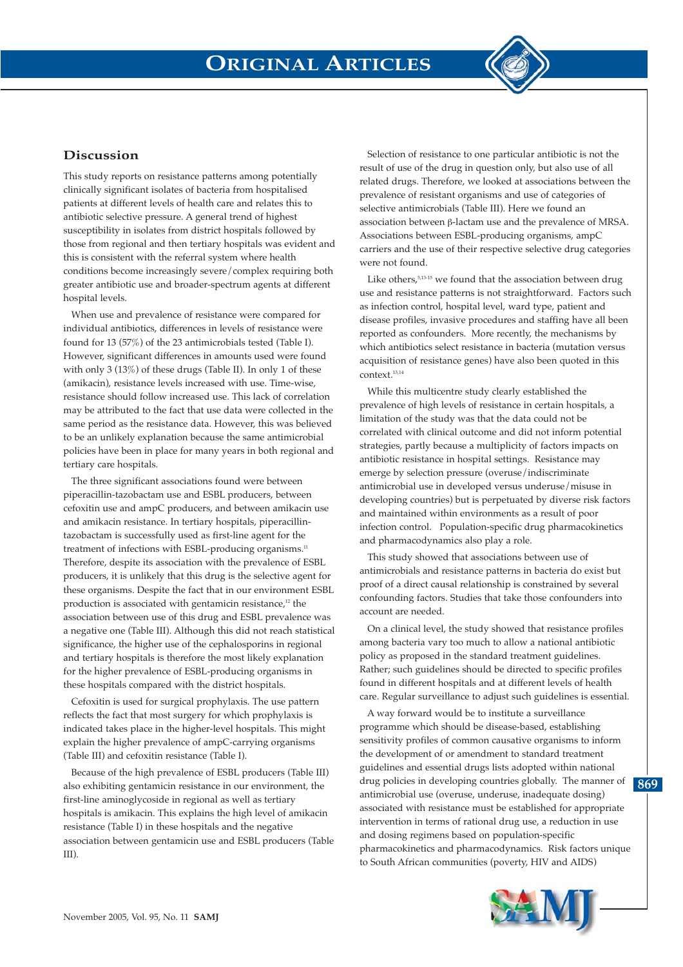

### **Discussion**

This study reports on resistance patterns among potentially clinically significant isolates of bacteria from hospitalised patients at different levels of health care and relates this to antibiotic selective pressure. A general trend of highest susceptibility in isolates from district hospitals followed by those from regional and then tertiary hospitals was evident and this is consistent with the referral system where health conditions become increasingly severe/complex requiring both greater antibiotic use and broader-spectrum agents at different hospital levels.

When use and prevalence of resistance were compared for individual antibiotics, differences in levels of resistance were found for 13 (57%) of the 23 antimicrobials tested (Table I). However, significant differences in amounts used were found with only 3 (13%) of these drugs (Table II). In only 1 of these (amikacin), resistance levels increased with use. Time-wise, resistance should follow increased use. This lack of correlation may be attributed to the fact that use data were collected in the same period as the resistance data. However, this was believed to be an unlikely explanation because the same antimicrobial policies have been in place for many years in both regional and tertiary care hospitals.

The three significant associations found were between piperacillin-tazobactam use and ESBL producers, between cefoxitin use and ampC producers, and between amikacin use and amikacin resistance. In tertiary hospitals, piperacillintazobactam is successfully used as first-line agent for the treatment of infections with ESBL-producing organisms.<sup>11</sup> Therefore, despite its association with the prevalence of ESBL producers, it is unlikely that this drug is the selective agent for these organisms. Despite the fact that in our environment ESBL production is associated with gentamicin resistance,<sup>12</sup> the association between use of this drug and ESBL prevalence was a negative one (Table III). Although this did not reach statistical significance, the higher use of the cephalosporins in regional and tertiary hospitals is therefore the most likely explanation for the higher prevalence of ESBL-producing organisms in these hospitals compared with the district hospitals.

Cefoxitin is used for surgical prophylaxis. The use pattern reflects the fact that most surgery for which prophylaxis is indicated takes place in the higher-level hospitals. This might explain the higher prevalence of ampC-carrying organisms (Table III) and cefoxitin resistance (Table I).

Because of the high prevalence of ESBL producers (Table III) also exhibiting gentamicin resistance in our environment, the first-line aminoglycoside in regional as well as tertiary hospitals is amikacin. This explains the high level of amikacin resistance (Table I) in these hospitals and the negative association between gentamicin use and ESBL producers (Table III).

Selection of resistance to one particular antibiotic is not the result of use of the drug in question only, but also use of all related drugs. Therefore, we looked at associations between the prevalence of resistant organisms and use of categories of selective antimicrobials (Table III). Here we found an association between β-lactam use and the prevalence of MRSA. Associations between ESBL-producing organisms, ampC carriers and the use of their respective selective drug categories were not found.

Like others,  $5,13-15$  we found that the association between drug use and resistance patterns is not straightforward. Factors such as infection control, hospital level, ward type, patient and disease profiles, invasive procedures and staffing have all been reported as confounders. More recently, the mechanisms by which antibiotics select resistance in bacteria (mutation versus acquisition of resistance genes) have also been quoted in this context.13,14

While this multicentre study clearly established the prevalence of high levels of resistance in certain hospitals, a limitation of the study was that the data could not be correlated with clinical outcome and did not inform potential strategies, partly because a multiplicity of factors impacts on antibiotic resistance in hospital settings. Resistance may emerge by selection pressure (overuse/indiscriminate antimicrobial use in developed versus underuse/misuse in developing countries) but is perpetuated by diverse risk factors and maintained within environments as a result of poor infection control. Population-specific drug pharmacokinetics and pharmacodynamics also play a role.

This study showed that associations between use of antimicrobials and resistance patterns in bacteria do exist but proof of a direct causal relationship is constrained by several confounding factors. Studies that take those confounders into account are needed.

On a clinical level, the study showed that resistance profiles among bacteria vary too much to allow a national antibiotic policy as proposed in the standard treatment guidelines. Rather; such guidelines should be directed to specific profiles found in different hospitals and at different levels of health care. Regular surveillance to adjust such guidelines is essential.

A way forward would be to institute a surveillance programme which should be disease-based, establishing sensitivity profiles of common causative organisms to inform the development of or amendment to standard treatment guidelines and essential drugs lists adopted within national drug policies in developing countries globally. The manner of antimicrobial use (overuse, underuse, inadequate dosing) associated with resistance must be established for appropriate intervention in terms of rational drug use, a reduction in use and dosing regimens based on population-specific pharmacokinetics and pharmacodynamics. Risk factors unique to South African communities (poverty, HIV and AIDS)



**869**